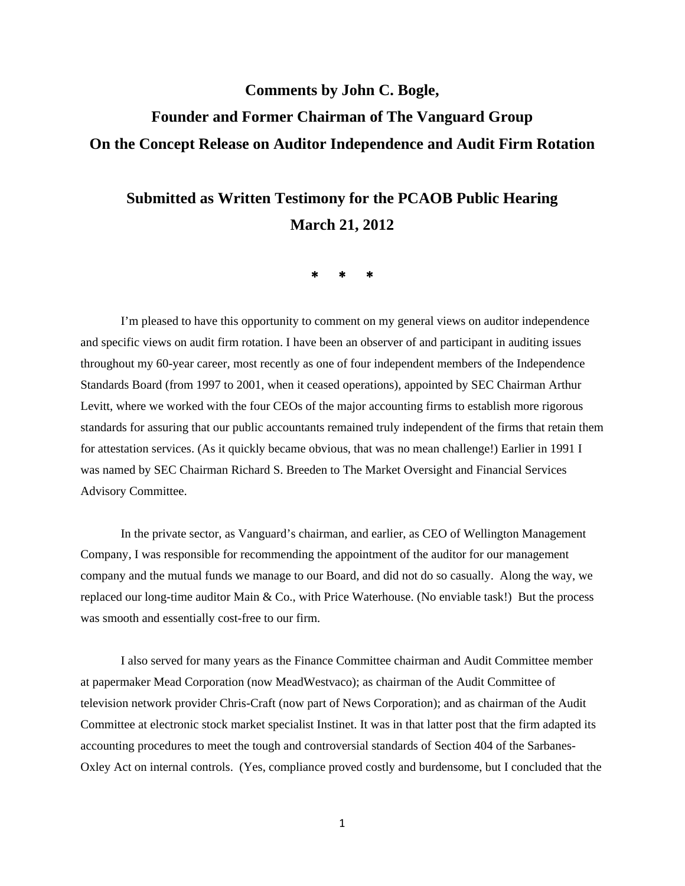## **Comments by John C. Bogle, Founder and Former Chairman of The Vanguard Group On the Concept Release on Auditor Independence and Audit Firm Rotation**

## **Submitted as Written Testimony for the PCAOB Public Hearing March 21, 2012**

 I'm pleased to have this opportunity to comment on my general views on auditor independence and specific views on audit firm rotation. I have been an observer of and participant in auditing issues throughout my 60-year career, most recently as one of four independent members of the Independence Standards Board (from 1997 to 2001, when it ceased operations), appointed by SEC Chairman Arthur Levitt, where we worked with the four CEOs of the major accounting firms to establish more rigorous standards for assuring that our public accountants remained truly independent of the firms that retain them for attestation services. (As it quickly became obvious, that was no mean challenge!) Earlier in 1991 I was named by SEC Chairman Richard S. Breeden to The Market Oversight and Financial Services Advisory Committee.

 In the private sector, as Vanguard's chairman, and earlier, as CEO of Wellington Management Company, I was responsible for recommending the appointment of the auditor for our management company and the mutual funds we manage to our Board, and did not do so casually. Along the way, we replaced our long-time auditor Main & Co., with Price Waterhouse. (No enviable task!) But the process was smooth and essentially cost-free to our firm.

 I also served for many years as the Finance Committee chairman and Audit Committee member at papermaker Mead Corporation (now MeadWestvaco); as chairman of the Audit Committee of television network provider Chris-Craft (now part of News Corporation); and as chairman of the Audit Committee at electronic stock market specialist Instinet. It was in that latter post that the firm adapted its accounting procedures to meet the tough and controversial standards of Section 404 of the Sarbanes-Oxley Act on internal controls. (Yes, compliance proved costly and burdensome, but I concluded that the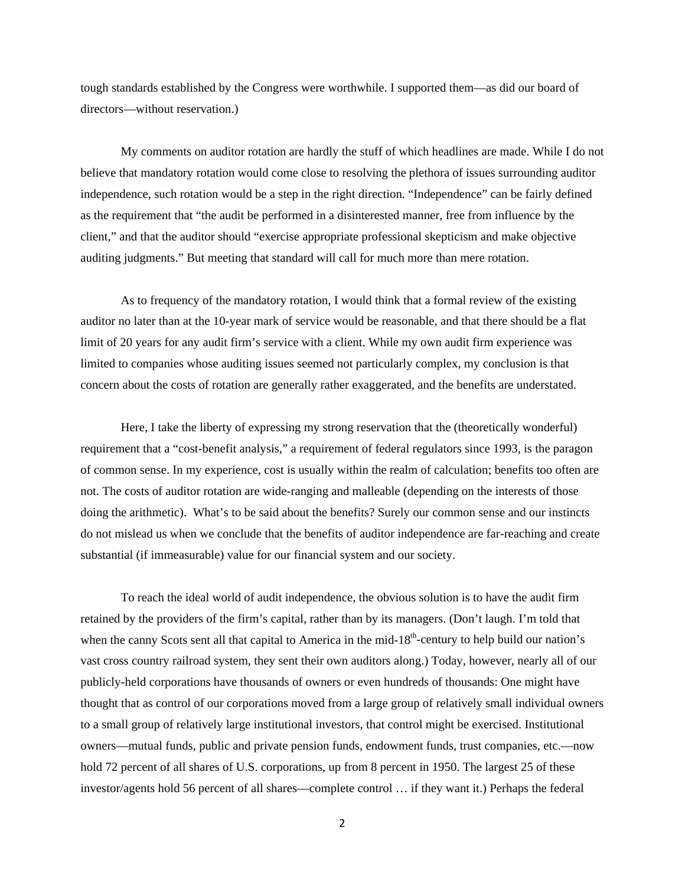tough standards established by the Congress were worthwhile. I supported them—as did our board of directors—without reservation.)

 My comments on auditor rotation are hardly the stuff of which headlines are made. While I do not believe that mandatory rotation would come close to resolving the plethora of issues surrounding auditor independence, such rotation would be a step in the right direction. "Independence" can be fairly defined as the requirement that "the audit be performed in a disinterested manner, free from influence by the client," and that the auditor should "exercise appropriate professional skepticism and make objective auditing judgments." But meeting that standard will call for much more than mere rotation.

 As to frequency of the mandatory rotation, I would think that a formal review of the existing auditor no later than at the 10-year mark of service would be reasonable, and that there should be a flat limit of 20 years for any audit firm's service with a client. While my own audit firm experience was limited to companies whose auditing issues seemed not particularly complex, my conclusion is that concern about the costs of rotation are generally rather exaggerated, and the benefits are understated.

Here, I take the liberty of expressing my strong reservation that the (theoretically wonderful) requirement that a "cost-benefit analysis," a requirement of federal regulators since 1993, is the paragon of common sense. In my experience, cost is usually within the realm of calculation; benefits too often are not. The costs of auditor rotation are wide-ranging and malleable (depending on the interests of those doing the arithmetic). What's to be said about the benefits? Surely our common sense and our instincts do not mislead us when we conclude that the benefits of auditor independence are far-reaching and create substantial (if immeasurable) value for our financial system and our society.

 To reach the ideal world of audit independence, the obvious solution is to have the audit firm retained by the providers of the firm's capital, rather than by its managers. (Don't laugh. I'm told that when the canny Scots sent all that capital to America in the mid-18<sup>th</sup>-century to help build our nation's vast cross country railroad system, they sent their own auditors along.) Today, however, nearly all of our publicly-held corporations have thousands of owners or even hundreds of thousands: One might have thought that as control of our corporations moved from a large group of relatively small individual owners to a small group of relatively large institutional investors, that control might be exercised. Institutional owners—mutual funds, public and private pension funds, endowment funds, trust companies, etc.—now hold 72 percent of all shares of U.S. corporations, up from 8 percent in 1950. The largest 25 of these investor/agents hold 56 percent of all shares—complete control … if they want it.) Perhaps the federal

2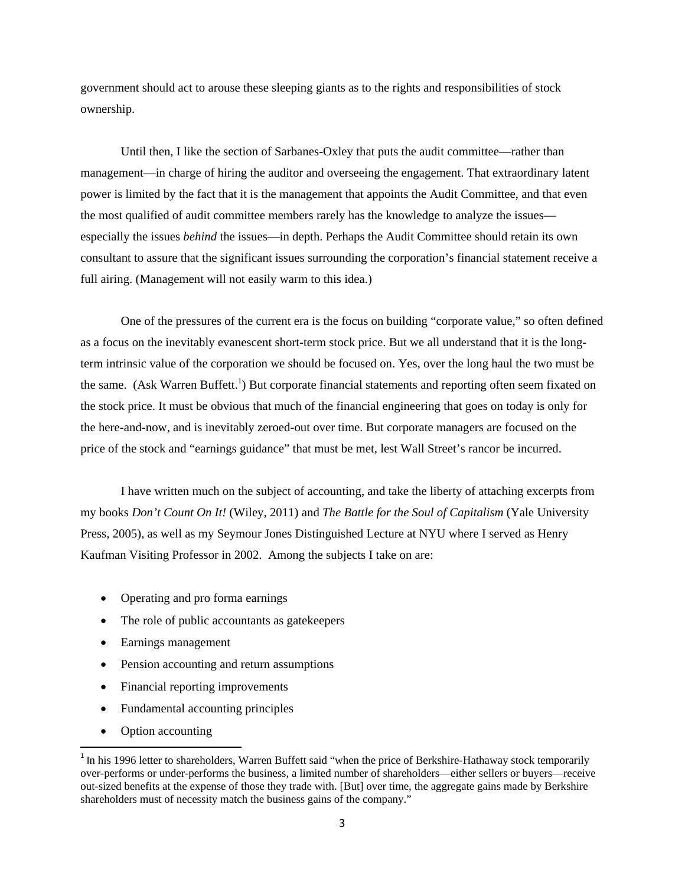government should act to arouse these sleeping giants as to the rights and responsibilities of stock ownership.

 Until then, I like the section of Sarbanes-Oxley that puts the audit committee—rather than management—in charge of hiring the auditor and overseeing the engagement. That extraordinary latent power is limited by the fact that it is the management that appoints the Audit Committee, and that even the most qualified of audit committee members rarely has the knowledge to analyze the issues especially the issues *behind* the issues—in depth. Perhaps the Audit Committee should retain its own consultant to assure that the significant issues surrounding the corporation's financial statement receive a full airing. (Management will not easily warm to this idea.)

 One of the pressures of the current era is the focus on building "corporate value," so often defined as a focus on the inevitably evanescent short-term stock price. But we all understand that it is the longterm intrinsic value of the corporation we should be focused on. Yes, over the long haul the two must be the same. (Ask Warren Buffett.<sup>1</sup>) But corporate financial statements and reporting often seem fixated on the stock price. It must be obvious that much of the financial engineering that goes on today is only for the here-and-now, and is inevitably zeroed-out over time. But corporate managers are focused on the price of the stock and "earnings guidance" that must be met, lest Wall Street's rancor be incurred.

 I have written much on the subject of accounting, and take the liberty of attaching excerpts from my books *Don't Count On It!* (Wiley, 2011) and *The Battle for the Soul of Capitalism* (Yale University Press, 2005), as well as my Seymour Jones Distinguished Lecture at NYU where I served as Henry Kaufman Visiting Professor in 2002. Among the subjects I take on are:

- Operating and pro forma earnings
- The role of public accountants as gatekeepers
- Earnings management
- Pension accounting and return assumptions
- Financial reporting improvements
- Fundamental accounting principles
- Option accounting

 $<sup>1</sup>$  In his 1996 letter to shareholders, Warren Buffett said "when the price of Berkshire-Hathaway stock temporarily</sup> over-performs or under-performs the business, a limited number of shareholders—either sellers or buyers—receive out-sized benefits at the expense of those they trade with. [But] over time, the aggregate gains made by Berkshire shareholders must of necessity match the business gains of the company."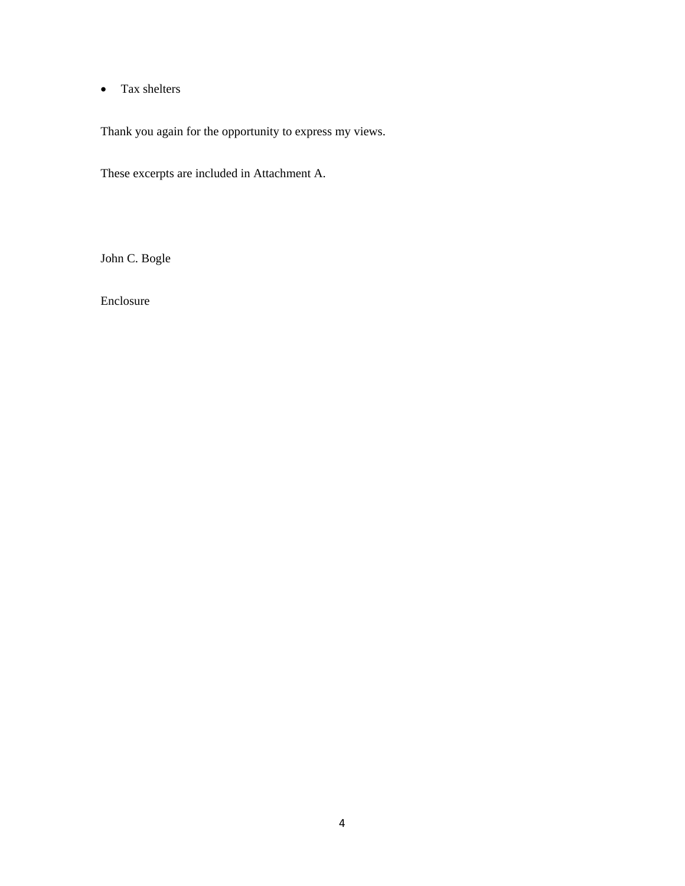• Tax shelters

Thank you again for the opportunity to express my views.

These excerpts are included in Attachment A.

John C. Bogle

Enclosure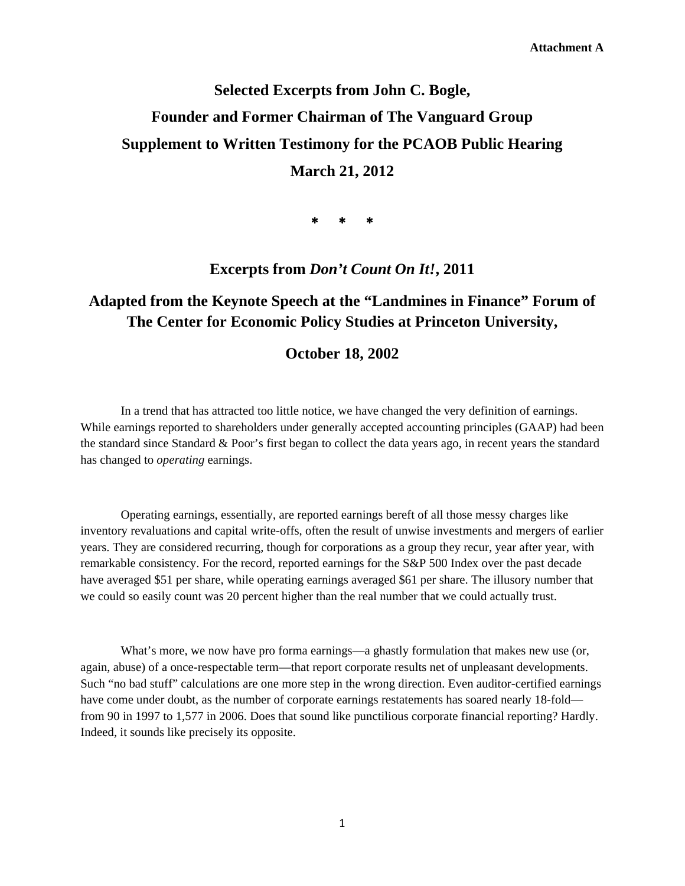# **Selected Excerpts from John C. Bogle, Founder and Former Chairman of The Vanguard Group Supplement to Written Testimony for the PCAOB Public Hearing March 21, 2012**

### **Excerpts from** *Don't Count On It!***, 2011**

## **Adapted from the Keynote Speech at the "Landmines in Finance" Forum of The Center for Economic Policy Studies at Princeton University,**

### **October 18, 2002**

 In a trend that has attracted too little notice, we have changed the very definition of earnings. While earnings reported to shareholders under generally accepted accounting principles (GAAP) had been the standard since Standard & Poor's first began to collect the data years ago, in recent years the standard has changed to *operating* earnings.

Operating earnings, essentially, are reported earnings bereft of all those messy charges like inventory revaluations and capital write-offs, often the result of unwise investments and mergers of earlier years. They are considered recurring, though for corporations as a group they recur, year after year, with remarkable consistency. For the record, reported earnings for the S&P 500 Index over the past decade have averaged \$51 per share, while operating earnings averaged \$61 per share. The illusory number that we could so easily count was 20 percent higher than the real number that we could actually trust.

What's more, we now have pro forma earnings—a ghastly formulation that makes new use (or, again, abuse) of a once-respectable term—that report corporate results net of unpleasant developments. Such "no bad stuff" calculations are one more step in the wrong direction. Even auditor-certified earnings have come under doubt, as the number of corporate earnings restatements has soared nearly 18-fold from 90 in 1997 to 1,577 in 2006. Does that sound like punctilious corporate financial reporting? Hardly. Indeed, it sounds like precisely its opposite.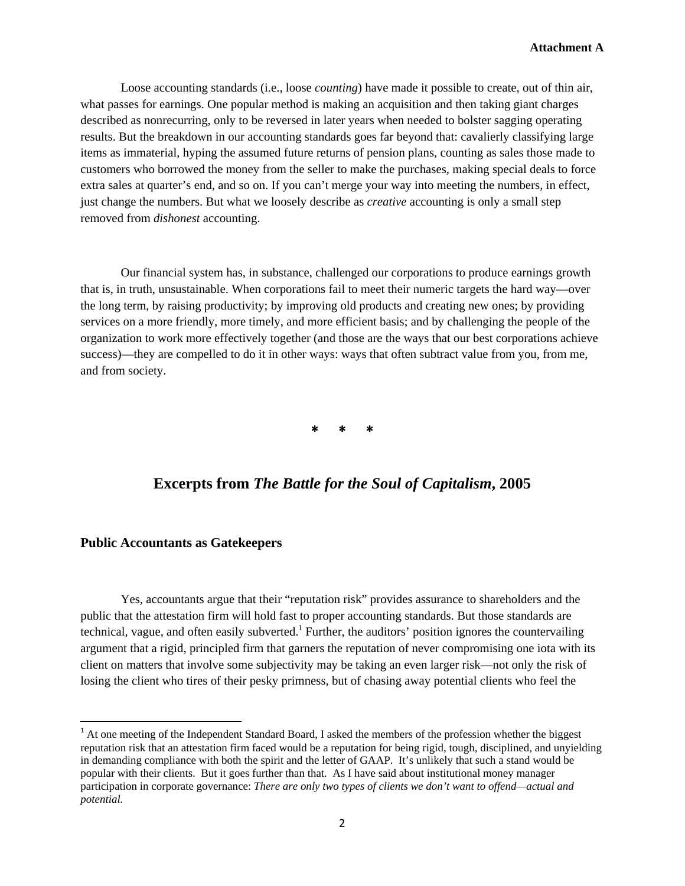Loose accounting standards (i.e., loose *counting*) have made it possible to create, out of thin air, what passes for earnings. One popular method is making an acquisition and then taking giant charges described as nonrecurring, only to be reversed in later years when needed to bolster sagging operating results. But the breakdown in our accounting standards goes far beyond that: cavalierly classifying large items as immaterial, hyping the assumed future returns of pension plans, counting as sales those made to customers who borrowed the money from the seller to make the purchases, making special deals to force extra sales at quarter's end, and so on. If you can't merge your way into meeting the numbers, in effect, just change the numbers. But what we loosely describe as *creative* accounting is only a small step removed from *dishonest* accounting.

Our financial system has, in substance, challenged our corporations to produce earnings growth that is, in truth, unsustainable. When corporations fail to meet their numeric targets the hard way—over the long term, by raising productivity; by improving old products and creating new ones; by providing services on a more friendly, more timely, and more efficient basis; and by challenging the people of the organization to work more effectively together (and those are the ways that our best corporations achieve success)—they are compelled to do it in other ways: ways that often subtract value from you, from me, and from society.

#### **Excerpts from** *The Battle for the Soul of Capitalism***, 2005**

#### **Public Accountants as Gatekeepers**

Yes, accountants argue that their "reputation risk" provides assurance to shareholders and the public that the attestation firm will hold fast to proper accounting standards. But those standards are technical, vague, and often easily subverted.<sup>1</sup> Further, the auditors' position ignores the countervailing argument that a rigid, principled firm that garners the reputation of never compromising one iota with its client on matters that involve some subjectivity may be taking an even larger risk—not only the risk of losing the client who tires of their pesky primness, but of chasing away potential clients who feel the

<sup>&</sup>lt;sup>1</sup> At one meeting of the Independent Standard Board, I asked the members of the profession whether the biggest reputation risk that an attestation firm faced would be a reputation for being rigid, tough, disciplined, and unyielding in demanding compliance with both the spirit and the letter of GAAP. It's unlikely that such a stand would be popular with their clients. But it goes further than that. As I have said about institutional money manager participation in corporate governance: *There are only two types of clients we don't want to offend—actual and potential.*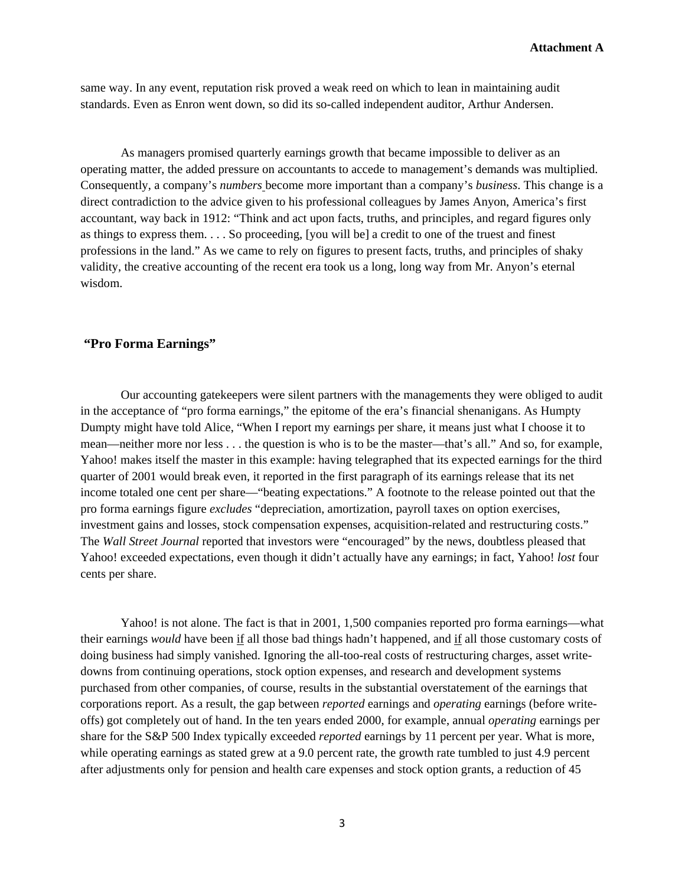same way. In any event, reputation risk proved a weak reed on which to lean in maintaining audit standards. Even as Enron went down, so did its so-called independent auditor, Arthur Andersen.

As managers promised quarterly earnings growth that became impossible to deliver as an operating matter, the added pressure on accountants to accede to management's demands was multiplied. Consequently, a company's *numbers* become more important than a company's *business*. This change is a direct contradiction to the advice given to his professional colleagues by James Anyon, America's first accountant, way back in 1912: "Think and act upon facts, truths, and principles, and regard figures only as things to express them. . . . So proceeding, [you will be] a credit to one of the truest and finest professions in the land." As we came to rely on figures to present facts, truths, and principles of shaky validity, the creative accounting of the recent era took us a long, long way from Mr. Anyon's eternal wisdom.

#### **"Pro Forma Earnings"**

Our accounting gatekeepers were silent partners with the managements they were obliged to audit in the acceptance of "pro forma earnings," the epitome of the era's financial shenanigans. As Humpty Dumpty might have told Alice, "When I report my earnings per share, it means just what I choose it to mean—neither more nor less . . . the question is who is to be the master—that's all." And so, for example, Yahoo! makes itself the master in this example: having telegraphed that its expected earnings for the third quarter of 2001 would break even, it reported in the first paragraph of its earnings release that its net income totaled one cent per share—"beating expectations." A footnote to the release pointed out that the pro forma earnings figure *excludes* "depreciation, amortization, payroll taxes on option exercises, investment gains and losses, stock compensation expenses, acquisition-related and restructuring costs." The *Wall Street Journal* reported that investors were "encouraged" by the news, doubtless pleased that Yahoo! exceeded expectations, even though it didn't actually have any earnings; in fact, Yahoo! *lost* four cents per share.

Yahoo! is not alone. The fact is that in 2001, 1,500 companies reported pro forma earnings—what their earnings *would* have been if all those bad things hadn't happened, and if all those customary costs of doing business had simply vanished. Ignoring the all-too-real costs of restructuring charges, asset writedowns from continuing operations, stock option expenses, and research and development systems purchased from other companies, of course, results in the substantial overstatement of the earnings that corporations report. As a result, the gap between *reported* earnings and *operating* earnings (before writeoffs) got completely out of hand. In the ten years ended 2000, for example, annual *operating* earnings per share for the S&P 500 Index typically exceeded *reported* earnings by 11 percent per year. What is more, while operating earnings as stated grew at a 9.0 percent rate, the growth rate tumbled to just 4.9 percent after adjustments only for pension and health care expenses and stock option grants, a reduction of 45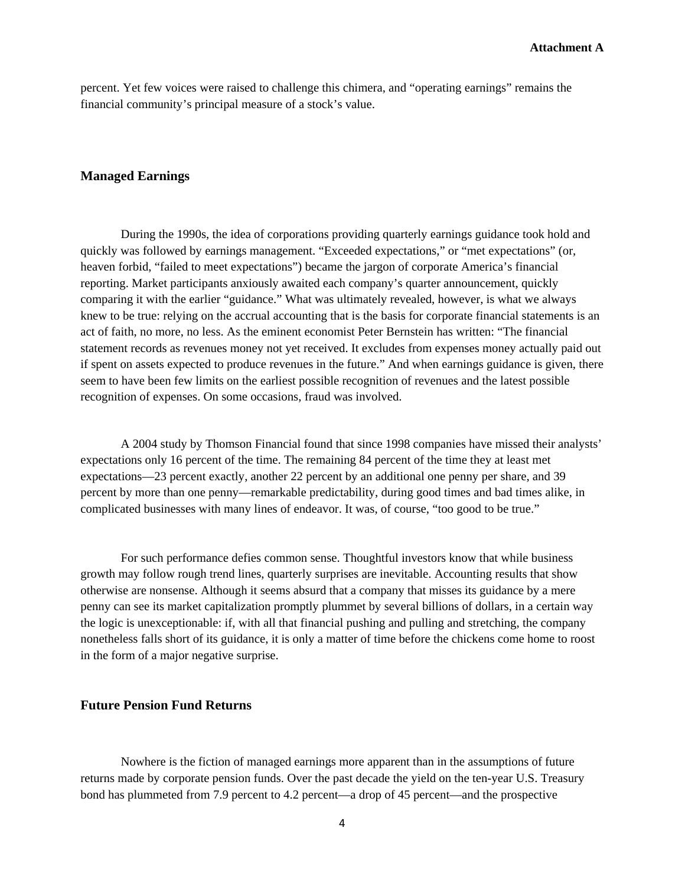percent. Yet few voices were raised to challenge this chimera, and "operating earnings" remains the financial community's principal measure of a stock's value.

#### **Managed Earnings**

During the 1990s, the idea of corporations providing quarterly earnings guidance took hold and quickly was followed by earnings management. "Exceeded expectations," or "met expectations" (or, heaven forbid, "failed to meet expectations") became the jargon of corporate America's financial reporting. Market participants anxiously awaited each company's quarter announcement, quickly comparing it with the earlier "guidance." What was ultimately revealed, however, is what we always knew to be true: relying on the accrual accounting that is the basis for corporate financial statements is an act of faith, no more, no less. As the eminent economist Peter Bernstein has written: "The financial statement records as revenues money not yet received. It excludes from expenses money actually paid out if spent on assets expected to produce revenues in the future." And when earnings guidance is given, there seem to have been few limits on the earliest possible recognition of revenues and the latest possible recognition of expenses. On some occasions, fraud was involved.

A 2004 study by Thomson Financial found that since 1998 companies have missed their analysts' expectations only 16 percent of the time. The remaining 84 percent of the time they at least met expectations—23 percent exactly, another 22 percent by an additional one penny per share, and 39 percent by more than one penny—remarkable predictability, during good times and bad times alike, in complicated businesses with many lines of endeavor. It was, of course, "too good to be true."

For such performance defies common sense. Thoughtful investors know that while business growth may follow rough trend lines, quarterly surprises are inevitable. Accounting results that show otherwise are nonsense. Although it seems absurd that a company that misses its guidance by a mere penny can see its market capitalization promptly plummet by several billions of dollars, in a certain way the logic is unexceptionable: if, with all that financial pushing and pulling and stretching, the company nonetheless falls short of its guidance, it is only a matter of time before the chickens come home to roost in the form of a major negative surprise.

#### **Future Pension Fund Returns**

Nowhere is the fiction of managed earnings more apparent than in the assumptions of future returns made by corporate pension funds. Over the past decade the yield on the ten-year U.S. Treasury bond has plummeted from 7.9 percent to 4.2 percent—a drop of 45 percent—and the prospective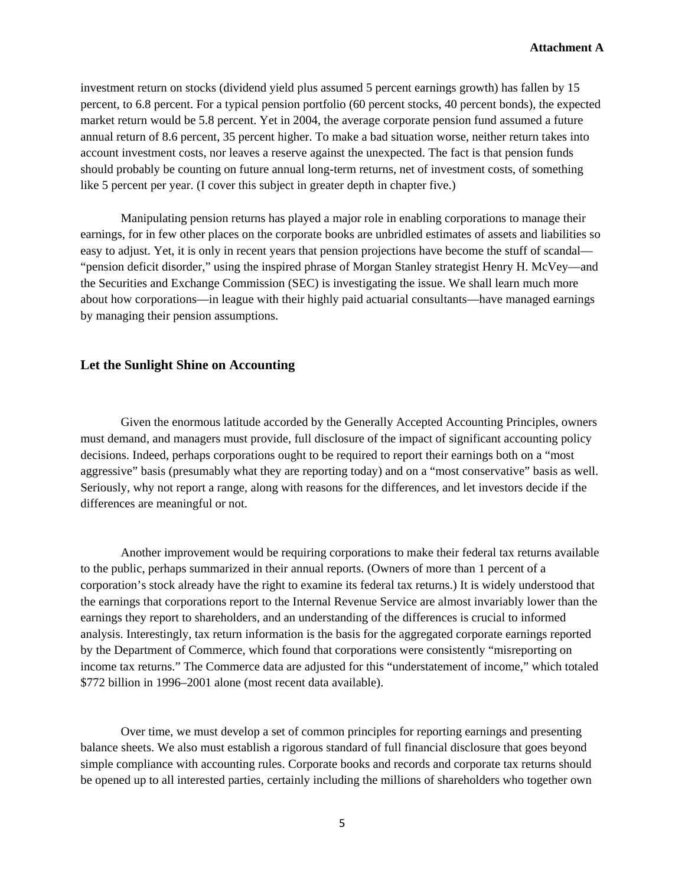investment return on stocks (dividend yield plus assumed 5 percent earnings growth) has fallen by 15 percent, to 6.8 percent. For a typical pension portfolio (60 percent stocks, 40 percent bonds), the expected market return would be 5.8 percent. Yet in 2004, the average corporate pension fund assumed a future annual return of 8.6 percent, 35 percent higher. To make a bad situation worse, neither return takes into account investment costs, nor leaves a reserve against the unexpected. The fact is that pension funds should probably be counting on future annual long-term returns, net of investment costs, of something like 5 percent per year. (I cover this subject in greater depth in chapter five.)

Manipulating pension returns has played a major role in enabling corporations to manage their earnings, for in few other places on the corporate books are unbridled estimates of assets and liabilities so easy to adjust. Yet, it is only in recent years that pension projections have become the stuff of scandal— "pension deficit disorder," using the inspired phrase of Morgan Stanley strategist Henry H. McVey—and the Securities and Exchange Commission (SEC) is investigating the issue. We shall learn much more about how corporations—in league with their highly paid actuarial consultants—have managed earnings by managing their pension assumptions.

#### **Let the Sunlight Shine on Accounting**

Given the enormous latitude accorded by the Generally Accepted Accounting Principles, owners must demand, and managers must provide, full disclosure of the impact of significant accounting policy decisions. Indeed, perhaps corporations ought to be required to report their earnings both on a "most aggressive" basis (presumably what they are reporting today) and on a "most conservative" basis as well. Seriously, why not report a range, along with reasons for the differences, and let investors decide if the differences are meaningful or not.

Another improvement would be requiring corporations to make their federal tax returns available to the public, perhaps summarized in their annual reports. (Owners of more than 1 percent of a corporation's stock already have the right to examine its federal tax returns.) It is widely understood that the earnings that corporations report to the Internal Revenue Service are almost invariably lower than the earnings they report to shareholders, and an understanding of the differences is crucial to informed analysis. Interestingly, tax return information is the basis for the aggregated corporate earnings reported by the Department of Commerce, which found that corporations were consistently "misreporting on income tax returns." The Commerce data are adjusted for this "understatement of income," which totaled \$772 billion in 1996–2001 alone (most recent data available).

Over time, we must develop a set of common principles for reporting earnings and presenting balance sheets. We also must establish a rigorous standard of full financial disclosure that goes beyond simple compliance with accounting rules. Corporate books and records and corporate tax returns should be opened up to all interested parties, certainly including the millions of shareholders who together own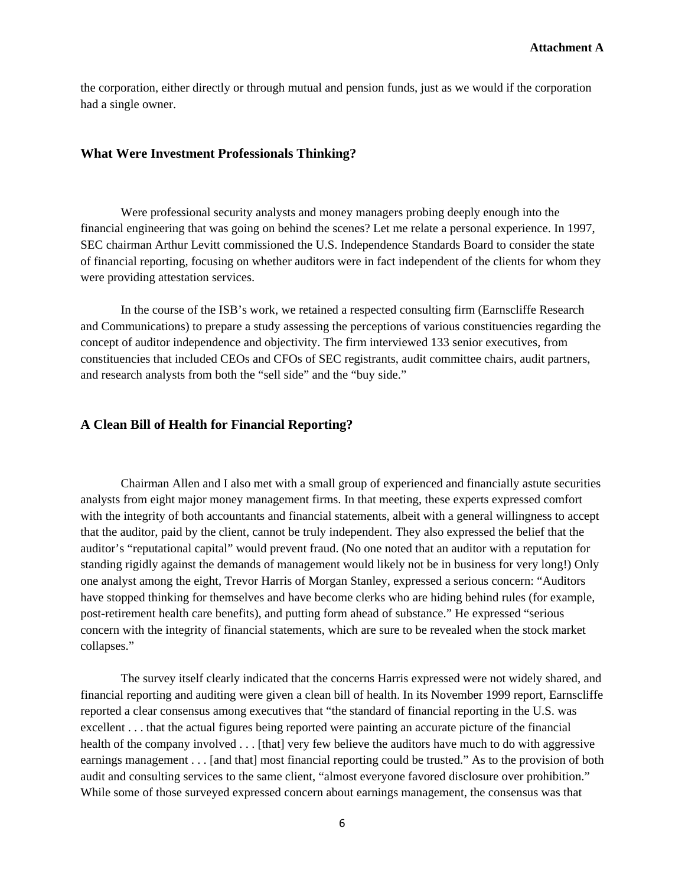the corporation, either directly or through mutual and pension funds, just as we would if the corporation had a single owner.

#### **What Were Investment Professionals Thinking?**

Were professional security analysts and money managers probing deeply enough into the financial engineering that was going on behind the scenes? Let me relate a personal experience. In 1997, SEC chairman Arthur Levitt commissioned the U.S. Independence Standards Board to consider the state of financial reporting, focusing on whether auditors were in fact independent of the clients for whom they were providing attestation services.

In the course of the ISB's work, we retained a respected consulting firm (Earnscliffe Research and Communications) to prepare a study assessing the perceptions of various constituencies regarding the concept of auditor independence and objectivity. The firm interviewed 133 senior executives, from constituencies that included CEOs and CFOs of SEC registrants, audit committee chairs, audit partners, and research analysts from both the "sell side" and the "buy side."

#### **A Clean Bill of Health for Financial Reporting?**

Chairman Allen and I also met with a small group of experienced and financially astute securities analysts from eight major money management firms. In that meeting, these experts expressed comfort with the integrity of both accountants and financial statements, albeit with a general willingness to accept that the auditor, paid by the client, cannot be truly independent. They also expressed the belief that the auditor's "reputational capital" would prevent fraud. (No one noted that an auditor with a reputation for standing rigidly against the demands of management would likely not be in business for very long!) Only one analyst among the eight, Trevor Harris of Morgan Stanley, expressed a serious concern: "Auditors have stopped thinking for themselves and have become clerks who are hiding behind rules (for example, post-retirement health care benefits), and putting form ahead of substance." He expressed "serious concern with the integrity of financial statements, which are sure to be revealed when the stock market collapses."

The survey itself clearly indicated that the concerns Harris expressed were not widely shared, and financial reporting and auditing were given a clean bill of health. In its November 1999 report, Earnscliffe reported a clear consensus among executives that "the standard of financial reporting in the U.S. was excellent . . . that the actual figures being reported were painting an accurate picture of the financial health of the company involved . . . [that] very few believe the auditors have much to do with aggressive earnings management . . . [and that] most financial reporting could be trusted." As to the provision of both audit and consulting services to the same client, "almost everyone favored disclosure over prohibition." While some of those surveyed expressed concern about earnings management, the consensus was that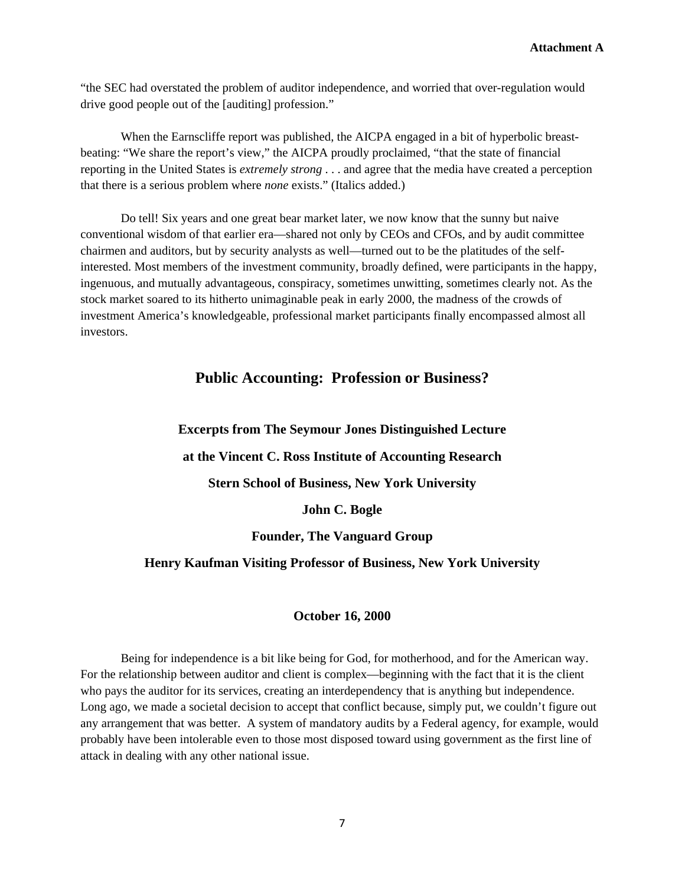"the SEC had overstated the problem of auditor independence, and worried that over-regulation would drive good people out of the [auditing] profession."

When the Earnscliffe report was published, the AICPA engaged in a bit of hyperbolic breastbeating: "We share the report's view," the AICPA proudly proclaimed, "that the state of financial reporting in the United States is *extremely strong* . . . and agree that the media have created a perception that there is a serious problem where *none* exists." (Italics added.)

Do tell! Six years and one great bear market later, we now know that the sunny but naive conventional wisdom of that earlier era—shared not only by CEOs and CFOs, and by audit committee chairmen and auditors, but by security analysts as well—turned out to be the platitudes of the selfinterested. Most members of the investment community, broadly defined, were participants in the happy, ingenuous, and mutually advantageous, conspiracy, sometimes unwitting, sometimes clearly not. As the stock market soared to its hitherto unimaginable peak in early 2000, the madness of the crowds of investment America's knowledgeable, professional market participants finally encompassed almost all investors.

## **Public Accounting: Profession or Business?**

# **Excerpts from The Seymour Jones Distinguished Lecture at the Vincent C. Ross Institute of Accounting Research Stern School of Business, New York University John C. Bogle Founder, The Vanguard Group**

#### **Henry Kaufman Visiting Professor of Business, New York University**

#### **October 16, 2000**

Being for independence is a bit like being for God, for motherhood, and for the American way. For the relationship between auditor and client is complex—beginning with the fact that it is the client who pays the auditor for its services, creating an interdependency that is anything but independence. Long ago, we made a societal decision to accept that conflict because, simply put, we couldn't figure out any arrangement that was better. A system of mandatory audits by a Federal agency, for example, would probably have been intolerable even to those most disposed toward using government as the first line of attack in dealing with any other national issue.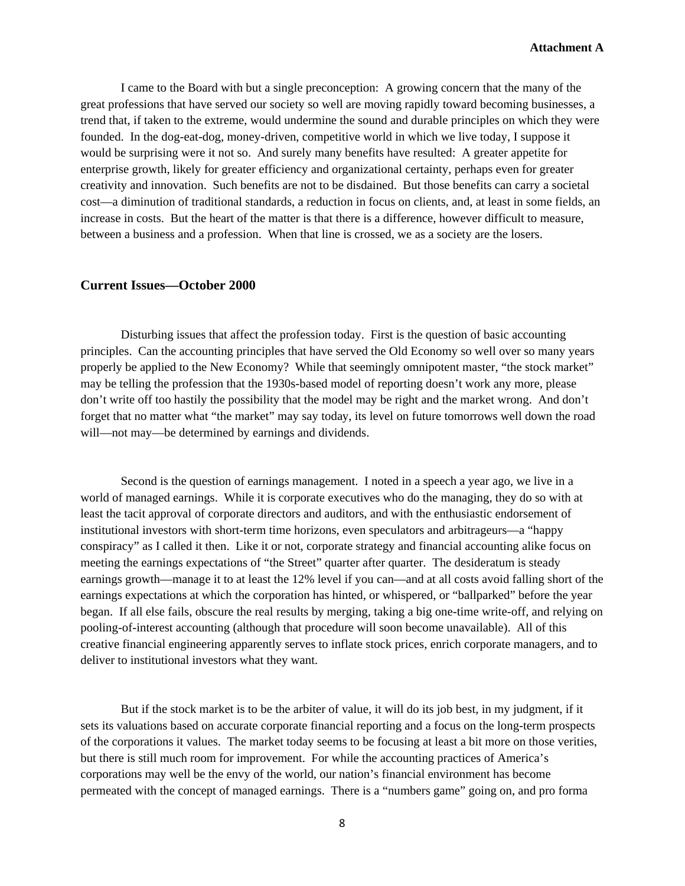I came to the Board with but a single preconception: A growing concern that the many of the great professions that have served our society so well are moving rapidly toward becoming businesses, a trend that, if taken to the extreme, would undermine the sound and durable principles on which they were founded. In the dog-eat-dog, money-driven, competitive world in which we live today, I suppose it would be surprising were it not so. And surely many benefits have resulted: A greater appetite for enterprise growth, likely for greater efficiency and organizational certainty, perhaps even for greater creativity and innovation. Such benefits are not to be disdained. But those benefits can carry a societal cost—a diminution of traditional standards, a reduction in focus on clients, and, at least in some fields, an increase in costs. But the heart of the matter is that there is a difference, however difficult to measure, between a business and a profession. When that line is crossed, we as a society are the losers.

#### **Current Issues—October 2000**

Disturbing issues that affect the profession today. First is the question of basic accounting principles. Can the accounting principles that have served the Old Economy so well over so many years properly be applied to the New Economy? While that seemingly omnipotent master, "the stock market" may be telling the profession that the 1930s-based model of reporting doesn't work any more, please don't write off too hastily the possibility that the model may be right and the market wrong. And don't forget that no matter what "the market" may say today, its level on future tomorrows well down the road will—not may—be determined by earnings and dividends.

Second is the question of earnings management. I noted in a speech a year ago, we live in a world of managed earnings. While it is corporate executives who do the managing, they do so with at least the tacit approval of corporate directors and auditors, and with the enthusiastic endorsement of institutional investors with short-term time horizons, even speculators and arbitrageurs—a "happy conspiracy" as I called it then. Like it or not, corporate strategy and financial accounting alike focus on meeting the earnings expectations of "the Street" quarter after quarter. The desideratum is steady earnings growth—manage it to at least the 12% level if you can—and at all costs avoid falling short of the earnings expectations at which the corporation has hinted, or whispered, or "ballparked" before the year began. If all else fails, obscure the real results by merging, taking a big one-time write-off, and relying on pooling-of-interest accounting (although that procedure will soon become unavailable). All of this creative financial engineering apparently serves to inflate stock prices, enrich corporate managers, and to deliver to institutional investors what they want.

But if the stock market is to be the arbiter of value, it will do its job best, in my judgment, if it sets its valuations based on accurate corporate financial reporting and a focus on the long-term prospects of the corporations it values. The market today seems to be focusing at least a bit more on those verities, but there is still much room for improvement. For while the accounting practices of America's corporations may well be the envy of the world, our nation's financial environment has become permeated with the concept of managed earnings. There is a "numbers game" going on, and pro forma